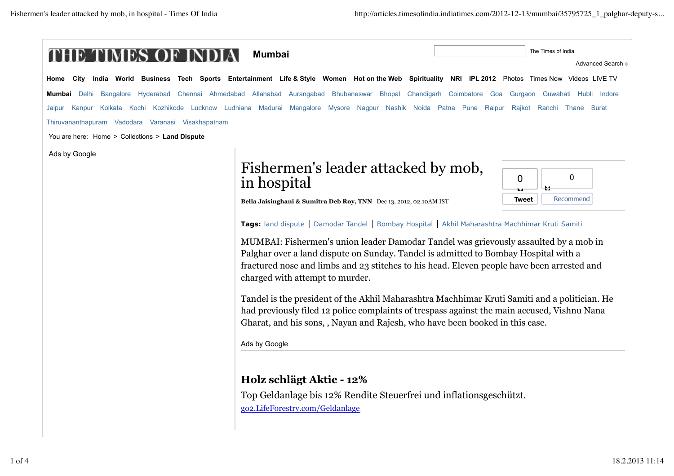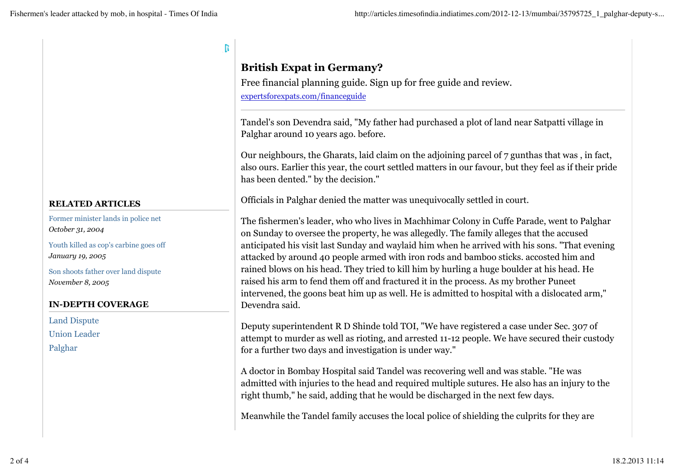| <b>RELATED ARTICLES</b> |
|-------------------------|

Former minister lands in police net *October 31, 2004*

Youth killed as cop's carbine goes off *January 19, 2005*

Son shoots father over land dispute *November 8, 2005*

### **IN-DEPTH COVERAGE**

Land Dispute Union Leader Palghar

# **British Expat in Germany?**

R

Free financial planning guide. Sign up for free guide and review. expertsforexpats.com/financeguide

Tandel's son Devendra said, "My father had purchased a plot of land near Satpatti village in Palghar around 10 years ago. before.

Our neighbours, the Gharats, laid claim on the adjoining parcel of 7 gunthas that was , in fact, also ours. Earlier this year, the court settled matters in our favour, but they feel as if their pride has been dented." by the decision."

Officials in Palghar denied the matter was unequivocally settled in court.

The fishermen's leader, who who lives in Machhimar Colony in Cuffe Parade, went to Palghar on Sunday to oversee the property, he was allegedly. The family alleges that the accused anticipated his visit last Sunday and waylaid him when he arrived with his sons. "That evening attacked by around 40 people armed with iron rods and bamboo sticks. accosted him and rained blows on his head. They tried to kill him by hurling a huge boulder at his head. He raised his arm to fend them off and fractured it in the process. As my brother Puneet intervened, the goons beat him up as well. He is admitted to hospital with a dislocated arm," Devendra said.

Deputy superintendent R D Shinde told TOI, "We have registered a case under Sec. 307 of attempt to murder as well as rioting, and arrested 11-12 people. We have secured their custody for a further two days and investigation is under way."

A doctor in Bombay Hospital said Tandel was recovering well and was stable. "He was admitted with injuries to the head and required multiple sutures. He also has an injury to the right thumb," he said, adding that he would be discharged in the next few days.

Meanwhile the Tandel family accuses the local police of shielding the culprits for they are